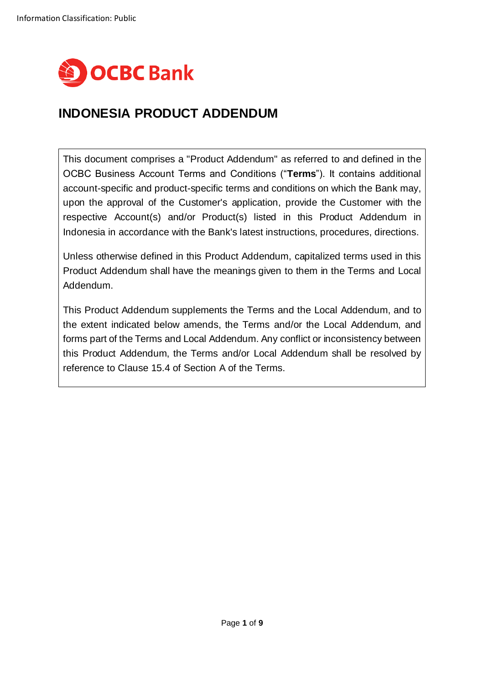

# **INDONESIA PRODUCT ADDENDUM**

This document comprises a "Product Addendum" as referred to and defined in the OCBC Business Account Terms and Conditions ("**Terms**"). It contains additional account-specific and product-specific terms and conditions on which the Bank may, upon the approval of the Customer's application, provide the Customer with the respective Account(s) and/or Product(s) listed in this Product Addendum in Indonesia in accordance with the Bank's latest instructions, procedures, directions.

Unless otherwise defined in this Product Addendum, capitalized terms used in this Product Addendum shall have the meanings given to them in the Terms and Local Addendum.

This Product Addendum supplements the Terms and the Local Addendum, and to the extent indicated below amends, the Terms and/or the Local Addendum, and forms part of the Terms and Local Addendum. Any conflict or inconsistency between this Product Addendum, the Terms and/or Local Addendum shall be resolved by reference to Clause 15.4 of Section A of the Terms.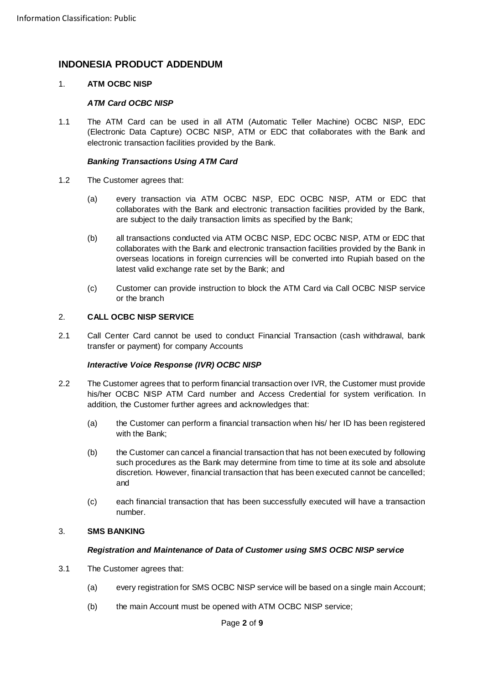## **INDONESIA PRODUCT ADDENDUM**

## 1. **ATM OCBC NISP**

## *ATM Card OCBC NISP*

1.1 The ATM Card can be used in all ATM (Automatic Teller Machine) OCBC NISP, EDC (Electronic Data Capture) OCBC NISP, ATM or EDC that collaborates with the Bank and electronic transaction facilities provided by the Bank.

## *Banking Transactions Using ATM Card*

- 1.2 The Customer agrees that:
	- (a) every transaction via ATM OCBC NISP, EDC OCBC NISP, ATM or EDC that collaborates with the Bank and electronic transaction facilities provided by the Bank, are subject to the daily transaction limits as specified by the Bank;
	- (b) all transactions conducted via ATM OCBC NISP, EDC OCBC NISP, ATM or EDC that collaborates with the Bank and electronic transaction facilities provided by the Bank in overseas locations in foreign currencies will be converted into Rupiah based on the latest valid exchange rate set by the Bank; and
	- (c) Customer can provide instruction to block the ATM Card via Call OCBC NISP service or the branch

## 2. **CALL OCBC NISP SERVICE**

2.1 Call Center Card cannot be used to conduct Financial Transaction (cash withdrawal, bank transfer or payment) for company Accounts

## *Interactive Voice Response (IVR) OCBC NISP*

- 2.2 The Customer agrees that to perform financial transaction over IVR, the Customer must provide his/her OCBC NISP ATM Card number and Access Credential for system verification. In addition, the Customer further agrees and acknowledges that:
	- (a) the Customer can perform a financial transaction when his/ her ID has been registered with the Bank;
	- (b) the Customer cancancel a financial transaction that has not been executed by following such procedures as the Bank may determine from time to time at its sole and absolute discretion. However, financial transaction that has been executed cannot be cancelled; and
	- (c) each financial transaction that has been successfully executed will have a transaction number.

## 3. **SMS BANKING**

## *Registration and Maintenance of Data of Customer using SMS OCBC NISP service*

- 3.1 The Customer agrees that:
	- (a) every registration for SMS OCBC NISP service will be based on a single main Account;
	- (b) the main Account must be opened with ATM OCBC NISP service;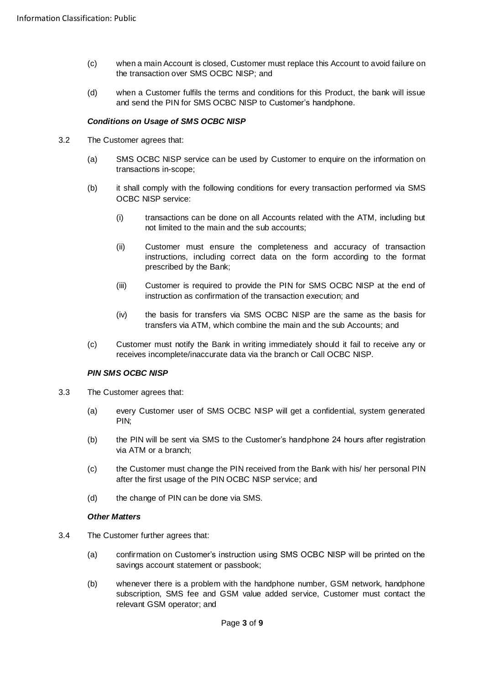- (c) when a main Account is closed, Customer must replace this Account to avoid failure on the transaction over SMS OCBC NISP; and
- (d) when a Customer fulfils the terms and conditions for this Product, the bank will issue and send the PIN for SMS OCBC NISP to Customer's handphone.

## *Conditions on Usage of SMS OCBC NISP*

- 3.2 The Customer agrees that:
	- (a) SMS OCBC NISP service can be used by Customer to enquire on the information on transactions in-scope;
	- (b) it shall comply with the following conditions for every transaction performed via SMS OCBC NISP service:
		- (i) transactions can be done on all Accounts related with the ATM, including but not limited to the main and the sub accounts;
		- (ii) Customer must ensure the completeness and accuracy of transaction instructions, including correct data on the form according to the format prescribed by the Bank;
		- (iii) Customer is required to provide the PIN for SMS OCBC NISP at the end of instruction as confirmation of the transaction execution; and
		- (iv) the basis for transfers via SMS OCBC NISP are the same as the basis for transfers via ATM, which combine the main and the sub Accounts; and
	- (c) Customer must notify the Bank in writing immediately should it fail to receive any or receives incomplete/inaccurate data via the branch or Call OCBC NISP.

## *PIN SMS OCBC NISP*

- 3.3 The Customer agrees that:
	- (a) every Customer user of SMS OCBC NISP will get a confidential, system generated PIN;
	- (b) the PIN will be sent via SMS to the Customer's handphone 24 hours after registration via ATM or a branch;
	- (c) the Customer must change the PIN received from the Bank with his/ her personal PIN after the first usage of the PIN OCBC NISP service; and
	- (d) the change of PIN can be done via SMS.

## *Other Matters*

- 3.4 The Customer further agrees that:
	- (a) confirmation on Customer's instruction using SMS OCBC NISP will be printed on the savings account statement or passbook;
	- (b) whenever there is a problem with the handphone number, GSM network, handphone subscription, SMS fee and GSM value added service, Customer must contact the relevant GSM operator; and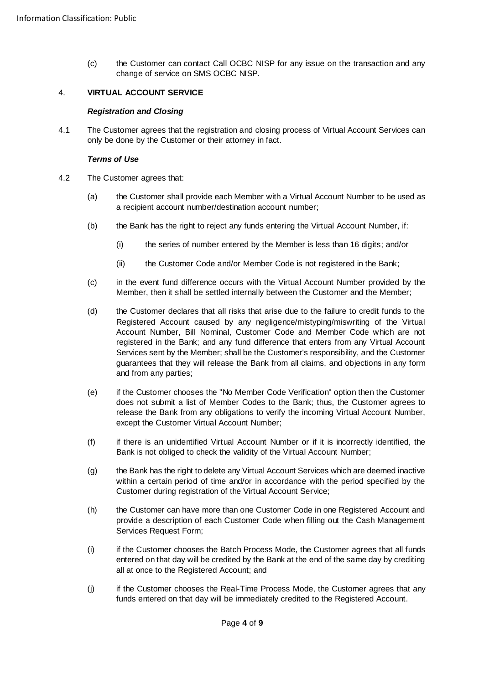(c) the Customer can contact Call OCBC NISP for any issue on the transaction and any change of service on SMS OCBC NISP.

## 4. **VIRTUAL ACCOUNT SERVICE**

## *Registration and Closing*

4.1 The Customer agrees that the registration and closing process of Virtual Account Services can only be done by the Customer or their attorney in fact.

#### *Terms of Use*

- <span id="page-3-0"></span>4.2 The Customer agrees that:
	- (a) the Customer shall provide each Member with a Virtual Account Number to be used as a recipient account number/destination account number;
	- (b) the Bank has the right to reject any funds entering the Virtual Account Number, if:
		- (i) the series of number entered by the Member is less than 16 digits; and/or
		- (ii) the Customer Code and/or Member Code is not registered in the Bank;
	- (c) in the event fund difference occurs with the Virtual Account Number provided by the Member, then it shall be settled internally between the Customer and the Member;
	- (d) the Customer declares that all risks that arise due to the failure to credit funds to the Registered Account caused by any negligence/mistyping/miswriting of the Virtual Account Number, Bill Nominal, Customer Code and Member Code which are not registered in the Bank; and any fund difference that enters from any Virtual Account Services sent by the Member; shall be the Customer's responsibility, and the Customer guarantees that they will release the Bank from all claims, and objections in any form and from any parties;
	- (e) if the Customer chooses the "No Member Code Verification" option then the Customer does not submit a list of Member Codes to the Bank; thus, the Customer agrees to release the Bank from any obligations to verify the incoming Virtual Account Number, except the Customer Virtual Account Number;
	- (f) if there is an unidentified Virtual Account Number or if it is incorrectly identified, the Bank is not obliged to check the validity of the Virtual Account Number;
	- (g) the Bank has the right to delete any Virtual Account Services which are deemed inactive within a certain period of time and/or in accordance with the period specified by the Customer during registration of the Virtual Account Service;
	- (h) the Customer can have more than one Customer Code in one Registered Account and provide a description of each Customer Code when filling out the Cash Management Services Request Form;
	- (i) if the Customer chooses the Batch Process Mode, the Customer agrees that all funds entered on that day will be credited by the Bank at the end of the same day by crediting all at once to the Registered Account; and
	- (j) if the Customer chooses the Real-Time Process Mode, the Customer agrees that any funds entered on that day will be immediately credited to the Registered Account.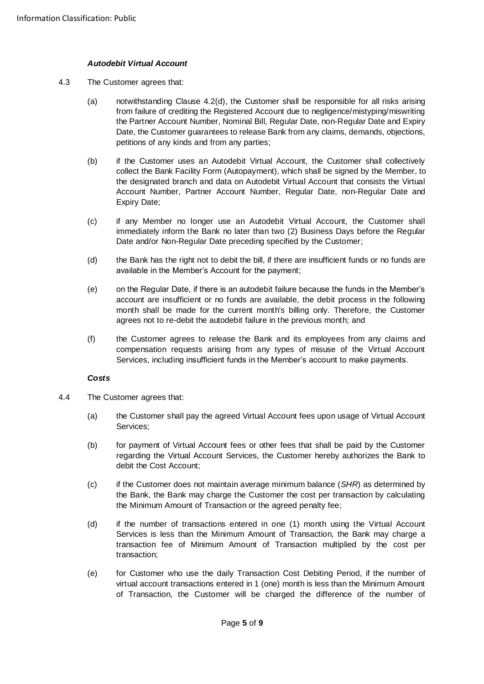## *Autodebit Virtual Account*

- 4.3 The Customer agrees that:
	- (a) notwithstanding Clause [4.2\(d\),](#page-3-0) the Customer shall be responsible for all risks arising from failure of crediting the Registered Account due to negligence/mistyping/miswriting the Partner Account Number, Nominal Bill, Regular Date, non-Regular Date and Expiry Date, the Customer guarantees to release Bank from any claims, demands, objections, petitions of any kinds and from any parties;
	- (b) if the Customer uses an Autodebit Virtual Account, the Customer shall collectively collect the Bank Facility Form (Autopayment), which shall be signed by the Member, to the designated branch and data on Autodebit Virtual Account that consists the Virtual Account Number, Partner Account Number, Regular Date, non-Regular Date and Expiry Date;
	- (c) if any Member no longer use an Autodebit Virtual Account, the Customer shall immediately inform the Bank no later than two (2) Business Days before the Regular Date and/or Non-Regular Date preceding specified by the Customer;
	- (d) the Bank has the right not to debit the bill, if there are insufficient funds or no funds are available in the Member's Account for the payment;
	- (e) on the Regular Date, if there is an autodebit failure because the funds in the Member's account are insufficient or no funds are available, the debit process in the following month shall be made for the current month's billing only. Therefore, the Customer agrees not to re-debit the autodebit failure in the previous month; and
	- (f) the Customer agrees to release the Bank and its employees from any claims and compensation requests arising from any types of misuse of the Virtual Account Services, including insufficient funds in the Member's account to make payments.

## *Costs*

- 4.4 The Customer agrees that:
	- (a) the Customer shall pay the agreed Virtual Account fees upon usage of Virtual Account Services;
	- (b) for payment of Virtual Account fees or other fees that shall be paid by the Customer regarding the Virtual Account Services, the Customer hereby authorizes the Bank to debit the Cost Account;
	- (c) if the Customer does not maintain average minimum balance (*SHR*) as determined by the Bank, the Bank may charge the Customer the cost per transaction by calculating the Minimum Amount of Transaction or the agreed penalty fee;
	- (d) if the number of transactions entered in one (1) month using the Virtual Account Services is less than the Minimum Amount of Transaction, the Bank may charge a transaction fee of Minimum Amount of Transaction multiplied by the cost per transaction;
	- (e) for Customer who use the daily Transaction Cost Debiting Period, if the number of virtual account transactions entered in 1 (one) month is less than the Minimum Amount of Transaction, the Customer will be charged the difference of the number of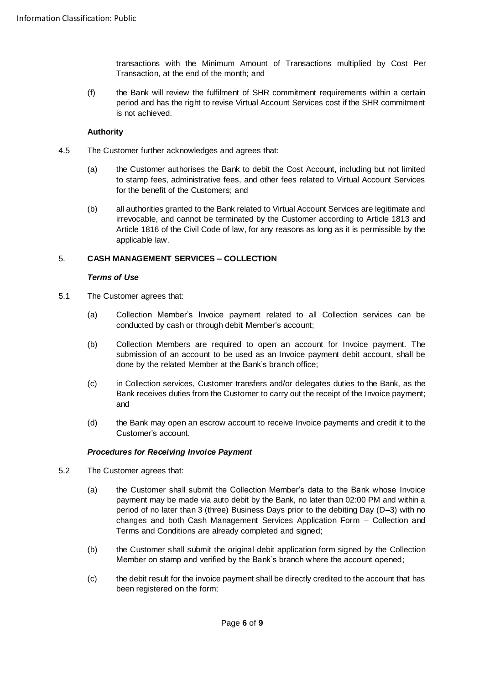transactions with the Minimum Amount of Transactions multiplied by Cost Per Transaction, at the end of the month; and

(f) the Bank will review the fulfilment of SHR commitment requirements within a certain period and has the right to revise Virtual Account Services cost if the SHR commitment is not achieved.

## **Authority**

- 4.5 The Customer further acknowledges and agrees that:
	- (a) the Customer authorises the Bank to debit the Cost Account, including but not limited to stamp fees, administrative fees, and other fees related to Virtual Account Services for the benefit of the Customers; and
	- (b) all authorities granted to the Bank related to Virtual Account Services are legitimate and irrevocable, and cannot be terminated by the Customer according to Article 1813 and Article 1816 of the Civil Code of law, for any reasons as long as it is permissible by the applicable law.

## 5. **CASH MANAGEMENT SERVICES – COLLECTION**

## *Terms of Use*

- 5.1 The Customer agrees that:
	- (a) Collection Member's Invoice payment related to all Collection services can be conducted by cash or through debit Member's account;
	- (b) Collection Members are required to open an account for Invoice payment. The submission of an account to be used as an Invoice payment debit account, shall be done by the related Member at the Bank's branch office;
	- (c) in Collection services, Customer transfers and/or delegates duties to the Bank, as the Bank receives duties from the Customer to carry out the receipt of the Invoice payment; and
	- (d) the Bank may open an escrow account to receive Invoice payments and credit it to the Customer's account.

## *Procedures for Receiving Invoice Payment*

- 5.2 The Customer agrees that:
	- (a) the Customer shall submit the Collection Member's data to the Bank whose Invoice payment may be made via auto debit by the Bank, no later than 02:00 PM and within a period of no later than 3 (three) Business Days prior to the debiting Day (D–3) with no changes and both Cash Management Services Application Form – Collection and Terms and Conditions are already completed and signed;
	- (b) the Customer shall submit the original debit application form signed by the Collection Member on stamp and verified by the Bank's branch where the account opened;
	- (c) the debit result for the invoice payment shall be directly credited to the account that has been registered on the form;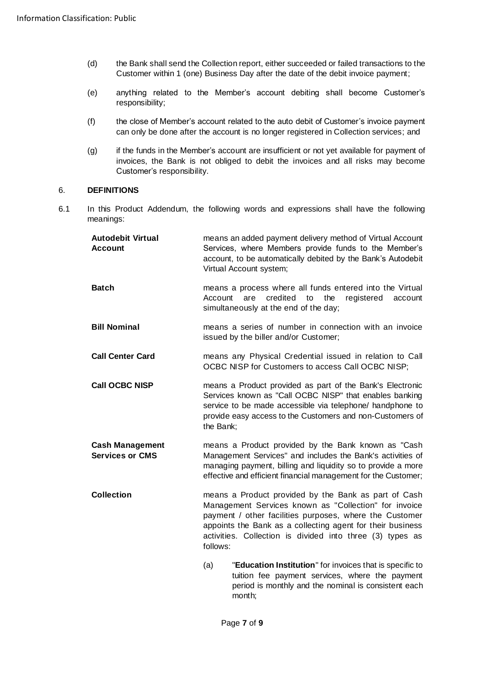- (d) the Bank shall send the Collection report, either succeeded or failed transactions to the Customer within 1 (one) Business Day after the date of the debit invoice payment;
- (e) anything related to the Member's account debiting shall become Customer's responsibility;
- (f) the close of Member's account related to the auto debit of Customer's invoice payment can only be done after the account is no longer registered in Collection services; and
- (g) if the funds in the Member's account are insufficient or not yet available for payment of invoices, the Bank is not obliged to debit the invoices and all risks may become Customer's responsibility.

means an added payment delivery method of Virtual Account

## 6. **DEFINITIONS**

**Autodebit Virtual** 

6.1 In this Product Addendum, the following words and expressions shall have the following meanings:

| <b>Account</b>                                   | Services, where Members provide funds to the Member's<br>account, to be automatically debited by the Bank's Autodebit<br>Virtual Account system;                                                                                                                                                                |
|--------------------------------------------------|-----------------------------------------------------------------------------------------------------------------------------------------------------------------------------------------------------------------------------------------------------------------------------------------------------------------|
| <b>Batch</b>                                     | means a process where all funds entered into the Virtual<br>credited<br>Account<br>are<br>to<br>the<br>registered<br>account<br>simultaneously at the end of the day;                                                                                                                                           |
| <b>Bill Nominal</b>                              | means a series of number in connection with an invoice<br>issued by the biller and/or Customer;                                                                                                                                                                                                                 |
| <b>Call Center Card</b>                          | means any Physical Credential issued in relation to Call<br>OCBC NISP for Customers to access Call OCBC NISP;                                                                                                                                                                                                   |
| <b>Call OCBC NISP</b>                            | means a Product provided as part of the Bank's Electronic<br>Services known as "Call OCBC NISP" that enables banking<br>service to be made accessible via telephone/ handphone to<br>provide easy access to the Customers and non-Customers of<br>the Bank;                                                     |
| <b>Cash Management</b><br><b>Services or CMS</b> | means a Product provided by the Bank known as "Cash<br>Management Services" and includes the Bank's activities of<br>managing payment, billing and liquidity so to provide a more<br>effective and efficient financial management for the Customer;                                                             |
| <b>Collection</b>                                | means a Product provided by the Bank as part of Cash<br>Management Services known as "Collection" for invoice<br>payment / other facilities purposes, where the Customer<br>appoints the Bank as a collecting agent for their business<br>activities. Collection is divided into three (3) types as<br>follows: |
|                                                  | "Education Institution" for invoices that is specific to<br>(a)<br>tuition fee payment services, where the payment<br>period is monthly and the nominal is consistent each<br>month;                                                                                                                            |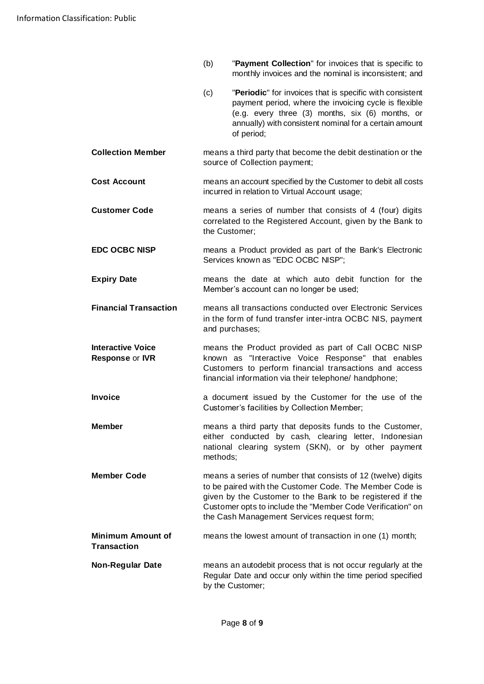- (b) "**Payment Collection**" for invoices that is specific to monthly invoices and the nominal is inconsistent; and
- (c) "**Periodic**" for invoices that is specific with consistent payment period, where the invoicing cycle is flexible (e.g. every three (3) months, six (6) months, or annually) with consistent nominal for a certain amount of period;
- **Collection Member** means a third party that become the debit destination or the source of Collection payment;
- **Cost Account** means an account specified by the Customer to debit all costs incurred in relation to Virtual Account usage;
- **Customer Code** means a series of number that consists of 4 (four) digits correlated to the Registered Account, given by the Bank to the Customer;
- **EDC OCBC NISP** means a Product provided as part of the Bank's Electronic Services known as "EDC OCBC NISP";
- **Expiry Date means** the date at which auto debit function for the Member's account can no longer be used;
- **Financial Transaction** means all transactions conducted over Electronic Services in the form of fund transfer inter-intra OCBC NIS, payment and purchases;
- **Interactive Voice Response** or **IVR** means the Product provided as part of Call OCBC NISP known as "Interactive Voice Response" that enables Customers to perform financial transactions and access financial information via their telephone/ handphone;
- **Invoice a** document issued by the Customer for the use of the Customer's facilities by Collection Member;
- **Member means a third party that deposits funds to the Customer,** either conducted by cash, clearing letter, Indonesian national clearing system (SKN), or by other payment methods;
- **Member Code** means a series of number that consists of 12 (twelve) digits to be paired with the Customer Code. The Member Code is given by the Customer to the Bank to be registered if the Customer opts to include the "Member Code Verification" on the Cash Management Services request form;
- **Minimum Amount of Transaction** means the lowest amount of transaction in one (1) month;
- **Non-Regular Date** means an autodebit process that is not occur regularly at the Regular Date and occur only within the time period specified by the Customer;